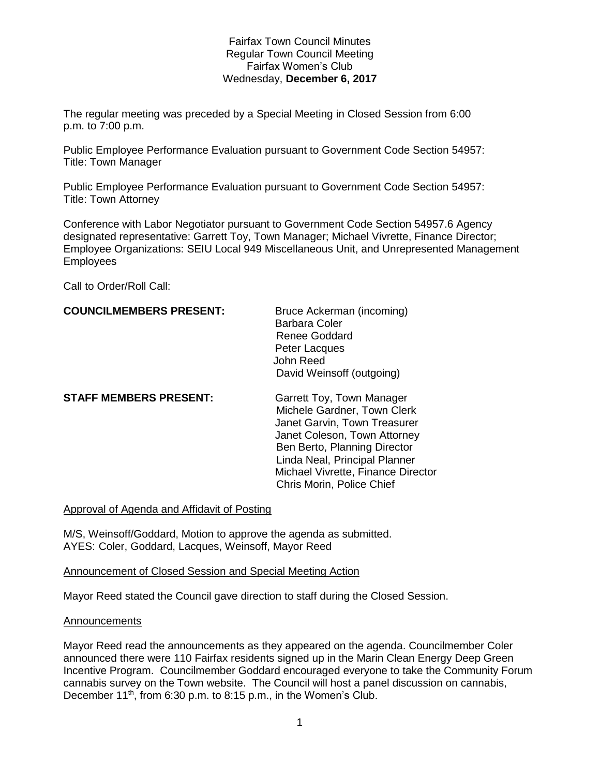# Fairfax Town Council Minutes Regular Town Council Meeting Fairfax Women's Club Wednesday, **December 6, 2017**

The regular meeting was preceded by a Special Meeting in Closed Session from 6:00 p.m. to 7:00 p.m.

Public Employee Performance Evaluation pursuant to Government Code Section 54957: Title: Town Manager

Public Employee Performance Evaluation pursuant to Government Code Section 54957: Title: Town Attorney

Conference with Labor Negotiator pursuant to Government Code Section 54957.6 Agency designated representative: Garrett Toy, Town Manager; Michael Vivrette, Finance Director; Employee Organizations: SEIU Local 949 Miscellaneous Unit, and Unrepresented Management Employees

Call to Order/Roll Call:

# **COUNCILMEMBERS PRESENT:** Bruce Ackerman (incoming)

Barbara Coler Renee Goddard Peter Lacques John Reed David Weinsoff (outgoing)

**STAFF MEMBERS PRESENT:** Garrett Toy, Town Manager

 Michele Gardner, Town Clerk Janet Garvin, Town Treasurer Janet Coleson, Town Attorney Ben Berto, Planning Director Linda Neal, Principal Planner Michael Vivrette, Finance Director Chris Morin, Police Chief

Approval of Agenda and Affidavit of Posting

M/S, Weinsoff/Goddard, Motion to approve the agenda as submitted. AYES: Coler, Goddard, Lacques, Weinsoff, Mayor Reed

# Announcement of Closed Session and Special Meeting Action

Mayor Reed stated the Council gave direction to staff during the Closed Session.

### Announcements

Mayor Reed read the announcements as they appeared on the agenda. Councilmember Coler announced there were 110 Fairfax residents signed up in the Marin Clean Energy Deep Green Incentive Program. Councilmember Goddard encouraged everyone to take the Community Forum cannabis survey on the Town website. The Council will host a panel discussion on cannabis, December 11<sup>th</sup>, from 6:30 p.m. to 8:15 p.m., in the Women's Club.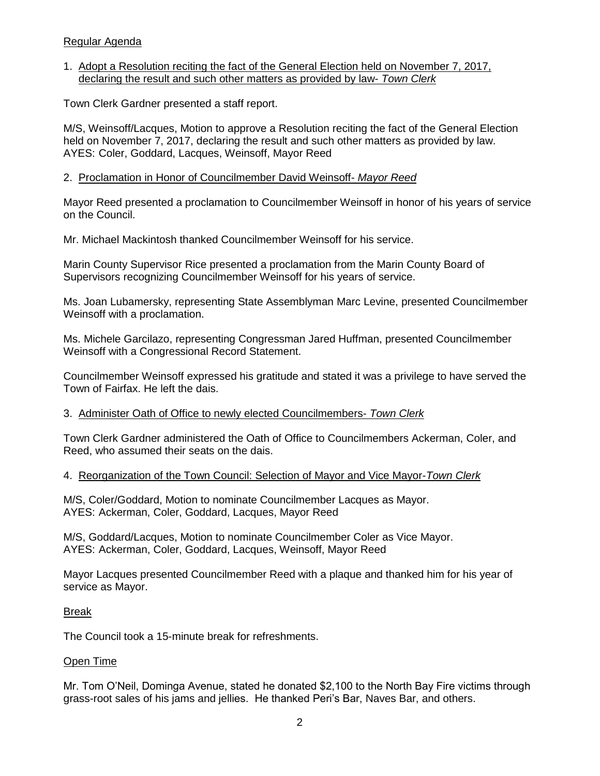# Regular Agenda

# 1. Adopt a Resolution reciting the fact of the General Election held on November 7, 2017, declaring the result and such other matters as provided by law- *Town Clerk*

Town Clerk Gardner presented a staff report.

M/S, Weinsoff/Lacques, Motion to approve a Resolution reciting the fact of the General Election held on November 7, 2017, declaring the result and such other matters as provided by law. AYES: Coler, Goddard, Lacques, Weinsoff, Mayor Reed

## 2. Proclamation in Honor of Councilmember David Weinsoff- *Mayor Reed*

Mayor Reed presented a proclamation to Councilmember Weinsoff in honor of his years of service on the Council.

Mr. Michael Mackintosh thanked Councilmember Weinsoff for his service.

Marin County Supervisor Rice presented a proclamation from the Marin County Board of Supervisors recognizing Councilmember Weinsoff for his years of service.

Ms. Joan Lubamersky, representing State Assemblyman Marc Levine, presented Councilmember Weinsoff with a proclamation.

Ms. Michele Garcilazo, representing Congressman Jared Huffman, presented Councilmember Weinsoff with a Congressional Record Statement.

Councilmember Weinsoff expressed his gratitude and stated it was a privilege to have served the Town of Fairfax. He left the dais.

### 3. Administer Oath of Office to newly elected Councilmembers- *Town Clerk*

Town Clerk Gardner administered the Oath of Office to Councilmembers Ackerman, Coler, and Reed, who assumed their seats on the dais.

# 4. Reorganization of the Town Council: Selection of Mayor and Vice Mayor-*Town Clerk*

M/S, Coler/Goddard, Motion to nominate Councilmember Lacques as Mayor. AYES: Ackerman, Coler, Goddard, Lacques, Mayor Reed

M/S, Goddard/Lacques, Motion to nominate Councilmember Coler as Vice Mayor. AYES: Ackerman, Coler, Goddard, Lacques, Weinsoff, Mayor Reed

Mayor Lacques presented Councilmember Reed with a plaque and thanked him for his year of service as Mayor.

### Break

The Council took a 15-minute break for refreshments.

### Open Time

Mr. Tom O'Neil, Dominga Avenue, stated he donated \$2,100 to the North Bay Fire victims through grass-root sales of his jams and jellies. He thanked Peri's Bar, Naves Bar, and others.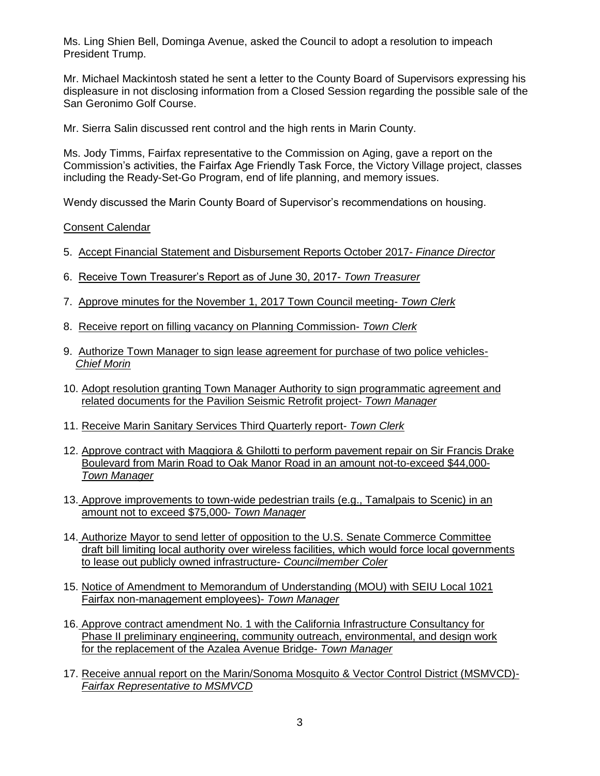Ms. Ling Shien Bell, Dominga Avenue, asked the Council to adopt a resolution to impeach President Trump.

Mr. Michael Mackintosh stated he sent a letter to the County Board of Supervisors expressing his displeasure in not disclosing information from a Closed Session regarding the possible sale of the San Geronimo Golf Course.

Mr. Sierra Salin discussed rent control and the high rents in Marin County.

Ms. Jody Timms, Fairfax representative to the Commission on Aging, gave a report on the Commission's activities, the Fairfax Age Friendly Task Force, the Victory Village project, classes including the Ready-Set-Go Program, end of life planning, and memory issues.

Wendy discussed the Marin County Board of Supervisor's recommendations on housing.

Consent Calendar

- 5. Accept Financial Statement and Disbursement Reports October 2017- *Finance Director*
- 6. Receive Town Treasurer's Report as of June 30, 2017- *Town Treasurer*
- 7. Approve minutes for the November 1, 2017 Town Council meeting- *Town Clerk*
- 8. Receive report on filling vacancy on Planning Commission- *Town Clerk*
- 9. Authorize Town Manager to sign lease agreement for purchase of two police vehicles-  *Chief Morin*
- 10. Adopt resolution granting Town Manager Authority to sign programmatic agreement and related documents for the Pavilion Seismic Retrofit project- *Town Manager*
- 11. Receive Marin Sanitary Services Third Quarterly report- *Town Clerk*
- 12. Approve contract with Maggiora & Ghilotti to perform pavement repair on Sir Francis Drake Boulevard from Marin Road to Oak Manor Road in an amount not-to-exceed \$44,000- *Town Manager*
- 13. Approve improvements to town-wide pedestrian trails (e.g., Tamalpais to Scenic) in an amount not to exceed \$75,000- *Town Manager*
- 14. Authorize Mayor to send letter of opposition to the U.S. Senate Commerce Committee draft bill limiting local authority over wireless facilities, which would force local governments to lease out publicly owned infrastructure- *Councilmember Coler*
- 15. Notice of Amendment to Memorandum of Understanding (MOU) with SEIU Local 1021 Fairfax non-management employees)- *Town Manager*
- 16. Approve contract amendment No. 1 with the California Infrastructure Consultancy for Phase II preliminary engineering, community outreach, environmental, and design work for the replacement of the Azalea Avenue Bridge- *Town Manager*
- 17. Receive annual report on the Marin/Sonoma Mosquito & Vector Control District (MSMVCD)-  *Fairfax Representative to MSMVCD*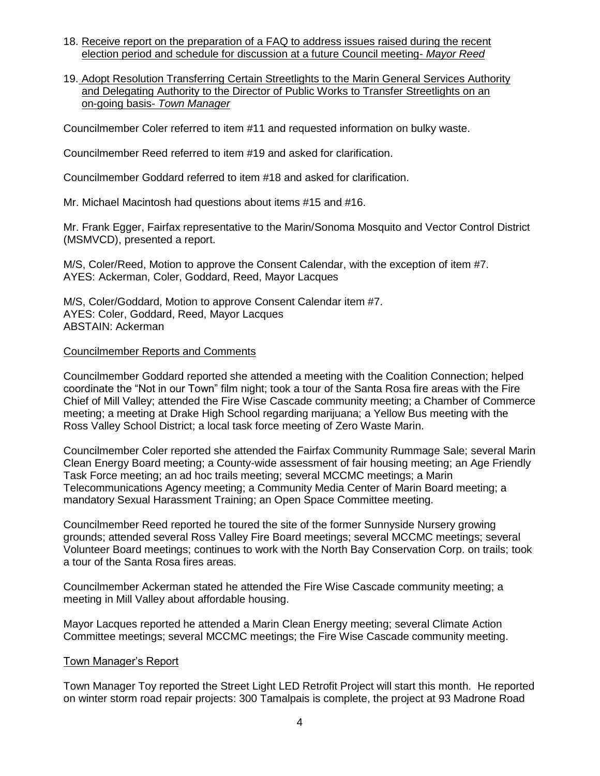- 18. Receive report on the preparation of a FAQ to address issues raised during the recent election period and schedule for discussion at a future Council meeting- *Mayor Reed*
- 19. Adopt Resolution Transferring Certain Streetlights to the Marin General Services Authority and Delegating Authority to the Director of Public Works to Transfer Streetlights on an on-going basis- *Town Manager*

Councilmember Coler referred to item #11 and requested information on bulky waste.

Councilmember Reed referred to item #19 and asked for clarification.

Councilmember Goddard referred to item #18 and asked for clarification.

Mr. Michael Macintosh had questions about items #15 and #16.

Mr. Frank Egger, Fairfax representative to the Marin/Sonoma Mosquito and Vector Control District (MSMVCD), presented a report.

M/S, Coler/Reed, Motion to approve the Consent Calendar, with the exception of item #7. AYES: Ackerman, Coler, Goddard, Reed, Mayor Lacques

M/S, Coler/Goddard, Motion to approve Consent Calendar item #7. AYES: Coler, Goddard, Reed, Mayor Lacques ABSTAIN: Ackerman

### Councilmember Reports and Comments

Councilmember Goddard reported she attended a meeting with the Coalition Connection; helped coordinate the "Not in our Town" film night; took a tour of the Santa Rosa fire areas with the Fire Chief of Mill Valley; attended the Fire Wise Cascade community meeting; a Chamber of Commerce meeting; a meeting at Drake High School regarding marijuana; a Yellow Bus meeting with the Ross Valley School District; a local task force meeting of Zero Waste Marin.

Councilmember Coler reported she attended the Fairfax Community Rummage Sale; several Marin Clean Energy Board meeting; a County-wide assessment of fair housing meeting; an Age Friendly Task Force meeting; an ad hoc trails meeting; several MCCMC meetings; a Marin Telecommunications Agency meeting; a Community Media Center of Marin Board meeting; a mandatory Sexual Harassment Training; an Open Space Committee meeting.

Councilmember Reed reported he toured the site of the former Sunnyside Nursery growing grounds; attended several Ross Valley Fire Board meetings; several MCCMC meetings; several Volunteer Board meetings; continues to work with the North Bay Conservation Corp. on trails; took a tour of the Santa Rosa fires areas.

Councilmember Ackerman stated he attended the Fire Wise Cascade community meeting; a meeting in Mill Valley about affordable housing.

Mayor Lacques reported he attended a Marin Clean Energy meeting; several Climate Action Committee meetings; several MCCMC meetings; the Fire Wise Cascade community meeting.

### Town Manager's Report

Town Manager Toy reported the Street Light LED Retrofit Project will start this month. He reported on winter storm road repair projects: 300 Tamalpais is complete, the project at 93 Madrone Road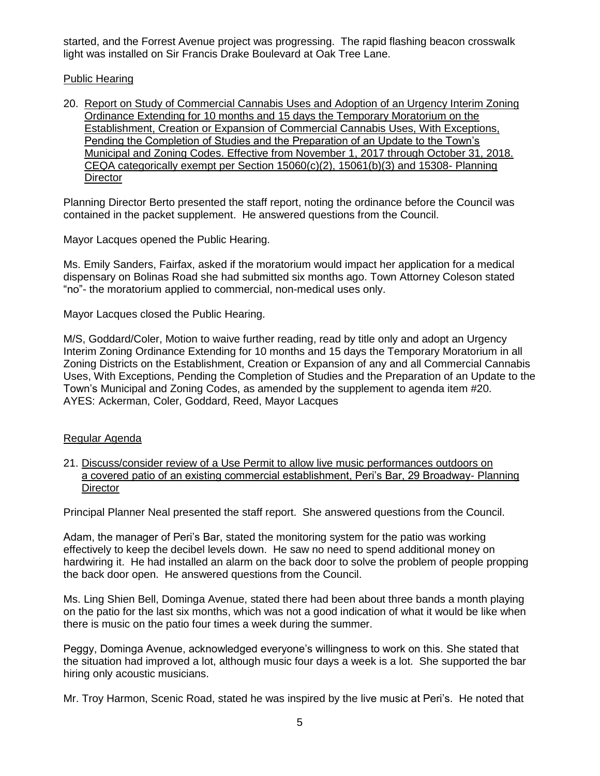started, and the Forrest Avenue project was progressing. The rapid flashing beacon crosswalk light was installed on Sir Francis Drake Boulevard at Oak Tree Lane.

# Public Hearing

20. Report on Study of Commercial Cannabis Uses and Adoption of an Urgency Interim Zoning Ordinance Extending for 10 months and 15 days the Temporary Moratorium on the Establishment, Creation or Expansion of Commercial Cannabis Uses, With Exceptions, Pending the Completion of Studies and the Preparation of an Update to the Town's Municipal and Zoning Codes. Effective from November 1, 2017 through October 31, 2018. CEQA categorically exempt per Section 15060(c)(2), 15061(b)(3) and 15308- Planning **Director** 

Planning Director Berto presented the staff report, noting the ordinance before the Council was contained in the packet supplement. He answered questions from the Council.

Mayor Lacques opened the Public Hearing.

Ms. Emily Sanders, Fairfax, asked if the moratorium would impact her application for a medical dispensary on Bolinas Road she had submitted six months ago. Town Attorney Coleson stated "no"- the moratorium applied to commercial, non-medical uses only.

Mayor Lacques closed the Public Hearing.

M/S, Goddard/Coler, Motion to waive further reading, read by title only and adopt an Urgency Interim Zoning Ordinance Extending for 10 months and 15 days the Temporary Moratorium in all Zoning Districts on the Establishment, Creation or Expansion of any and all Commercial Cannabis Uses, With Exceptions, Pending the Completion of Studies and the Preparation of an Update to the Town's Municipal and Zoning Codes, as amended by the supplement to agenda item #20. AYES: Ackerman, Coler, Goddard, Reed, Mayor Lacques

# Regular Agenda

21. Discuss/consider review of a Use Permit to allow live music performances outdoors on a covered patio of an existing commercial establishment, Peri's Bar, 29 Broadway- Planning **Director** 

Principal Planner Neal presented the staff report. She answered questions from the Council.

Adam, the manager of Peri's Bar, stated the monitoring system for the patio was working effectively to keep the decibel levels down. He saw no need to spend additional money on hardwiring it. He had installed an alarm on the back door to solve the problem of people propping the back door open. He answered questions from the Council.

Ms. Ling Shien Bell, Dominga Avenue, stated there had been about three bands a month playing on the patio for the last six months, which was not a good indication of what it would be like when there is music on the patio four times a week during the summer.

Peggy, Dominga Avenue, acknowledged everyone's willingness to work on this. She stated that the situation had improved a lot, although music four days a week is a lot. She supported the bar hiring only acoustic musicians.

Mr. Troy Harmon, Scenic Road, stated he was inspired by the live music at Peri's. He noted that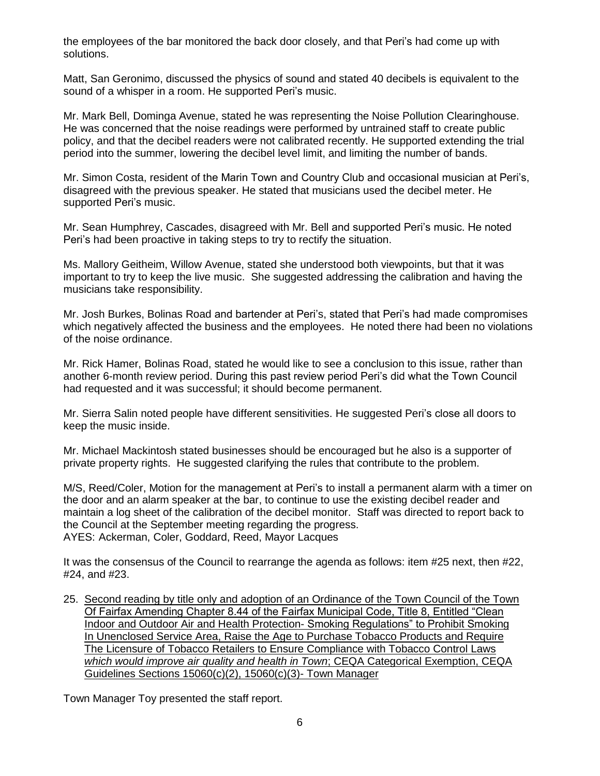the employees of the bar monitored the back door closely, and that Peri's had come up with solutions.

Matt, San Geronimo, discussed the physics of sound and stated 40 decibels is equivalent to the sound of a whisper in a room. He supported Peri's music.

Mr. Mark Bell, Dominga Avenue, stated he was representing the Noise Pollution Clearinghouse. He was concerned that the noise readings were performed by untrained staff to create public policy, and that the decibel readers were not calibrated recently. He supported extending the trial period into the summer, lowering the decibel level limit, and limiting the number of bands.

Mr. Simon Costa, resident of the Marin Town and Country Club and occasional musician at Peri's, disagreed with the previous speaker. He stated that musicians used the decibel meter. He supported Peri's music.

Mr. Sean Humphrey, Cascades, disagreed with Mr. Bell and supported Peri's music. He noted Peri's had been proactive in taking steps to try to rectify the situation.

Ms. Mallory Geitheim, Willow Avenue, stated she understood both viewpoints, but that it was important to try to keep the live music. She suggested addressing the calibration and having the musicians take responsibility.

Mr. Josh Burkes, Bolinas Road and bartender at Peri's, stated that Peri's had made compromises which negatively affected the business and the employees. He noted there had been no violations of the noise ordinance.

Mr. Rick Hamer, Bolinas Road, stated he would like to see a conclusion to this issue, rather than another 6-month review period. During this past review period Peri's did what the Town Council had requested and it was successful; it should become permanent.

Mr. Sierra Salin noted people have different sensitivities. He suggested Peri's close all doors to keep the music inside.

Mr. Michael Mackintosh stated businesses should be encouraged but he also is a supporter of private property rights. He suggested clarifying the rules that contribute to the problem.

M/S, Reed/Coler, Motion for the management at Peri's to install a permanent alarm with a timer on the door and an alarm speaker at the bar, to continue to use the existing decibel reader and maintain a log sheet of the calibration of the decibel monitor. Staff was directed to report back to the Council at the September meeting regarding the progress. AYES: Ackerman, Coler, Goddard, Reed, Mayor Lacques

It was the consensus of the Council to rearrange the agenda as follows: item #25 next, then #22, #24, and #23.

25. Second reading by title only and adoption of an Ordinance of the Town Council of the Town Of Fairfax Amending Chapter 8.44 of the Fairfax Municipal Code, Title 8, Entitled "Clean Indoor and Outdoor Air and Health Protection- Smoking Regulations" to Prohibit Smoking In Unenclosed Service Area, Raise the Age to Purchase Tobacco Products and Require The Licensure of Tobacco Retailers to Ensure Compliance with Tobacco Control Laws  *which would improve air quality and health in Town*; CEQA Categorical Exemption, CEQA Guidelines Sections 15060(c)(2), 15060(c)(3)- Town Manager

Town Manager Toy presented the staff report.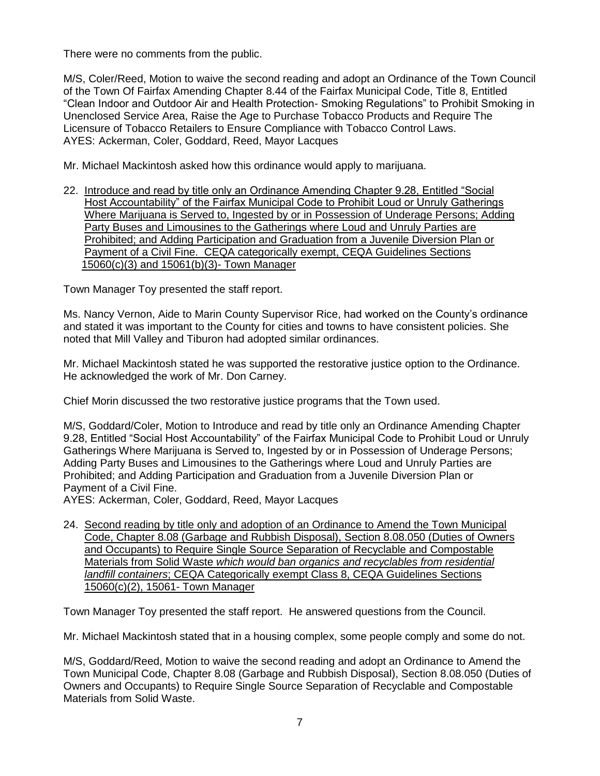There were no comments from the public.

M/S, Coler/Reed, Motion to waive the second reading and adopt an Ordinance of the Town Council of the Town Of Fairfax Amending Chapter 8.44 of the Fairfax Municipal Code, Title 8, Entitled "Clean Indoor and Outdoor Air and Health Protection- Smoking Regulations" to Prohibit Smoking in Unenclosed Service Area, Raise the Age to Purchase Tobacco Products and Require The Licensure of Tobacco Retailers to Ensure Compliance with Tobacco Control Laws. AYES: Ackerman, Coler, Goddard, Reed, Mayor Lacques

Mr. Michael Mackintosh asked how this ordinance would apply to marijuana.

22. Introduce and read by title only an Ordinance Amending Chapter 9.28, Entitled "Social Host Accountability" of the Fairfax Municipal Code to Prohibit Loud or Unruly Gatherings Where Marijuana is Served to, Ingested by or in Possession of Underage Persons; Adding Party Buses and Limousines to the Gatherings where Loud and Unruly Parties are Prohibited; and Adding Participation and Graduation from a Juvenile Diversion Plan or Payment of a Civil Fine. CEQA categorically exempt, CEQA Guidelines Sections 15060(c)(3) and 15061(b)(3)- Town Manager

Town Manager Toy presented the staff report.

Ms. Nancy Vernon, Aide to Marin County Supervisor Rice, had worked on the County's ordinance and stated it was important to the County for cities and towns to have consistent policies. She noted that Mill Valley and Tiburon had adopted similar ordinances.

Mr. Michael Mackintosh stated he was supported the restorative justice option to the Ordinance. He acknowledged the work of Mr. Don Carney.

Chief Morin discussed the two restorative justice programs that the Town used.

M/S, Goddard/Coler, Motion to Introduce and read by title only an Ordinance Amending Chapter 9.28, Entitled "Social Host Accountability" of the Fairfax Municipal Code to Prohibit Loud or Unruly Gatherings Where Marijuana is Served to, Ingested by or in Possession of Underage Persons; Adding Party Buses and Limousines to the Gatherings where Loud and Unruly Parties are Prohibited; and Adding Participation and Graduation from a Juvenile Diversion Plan or Payment of a Civil Fine.

AYES: Ackerman, Coler, Goddard, Reed, Mayor Lacques

24. Second reading by title only and adoption of an Ordinance to Amend the Town Municipal Code, Chapter 8.08 (Garbage and Rubbish Disposal), Section 8.08.050 (Duties of Owners and Occupants) to Require Single Source Separation of Recyclable and Compostable Materials from Solid Waste *which would ban organics and recyclables from residential landfill containers*; CEQA Categorically exempt Class 8, CEQA Guidelines Sections 15060(c)(2), 15061- Town Manager

Town Manager Toy presented the staff report. He answered questions from the Council.

Mr. Michael Mackintosh stated that in a housing complex, some people comply and some do not.

M/S, Goddard/Reed, Motion to waive the second reading and adopt an Ordinance to Amend the Town Municipal Code, Chapter 8.08 (Garbage and Rubbish Disposal), Section 8.08.050 (Duties of Owners and Occupants) to Require Single Source Separation of Recyclable and Compostable Materials from Solid Waste.